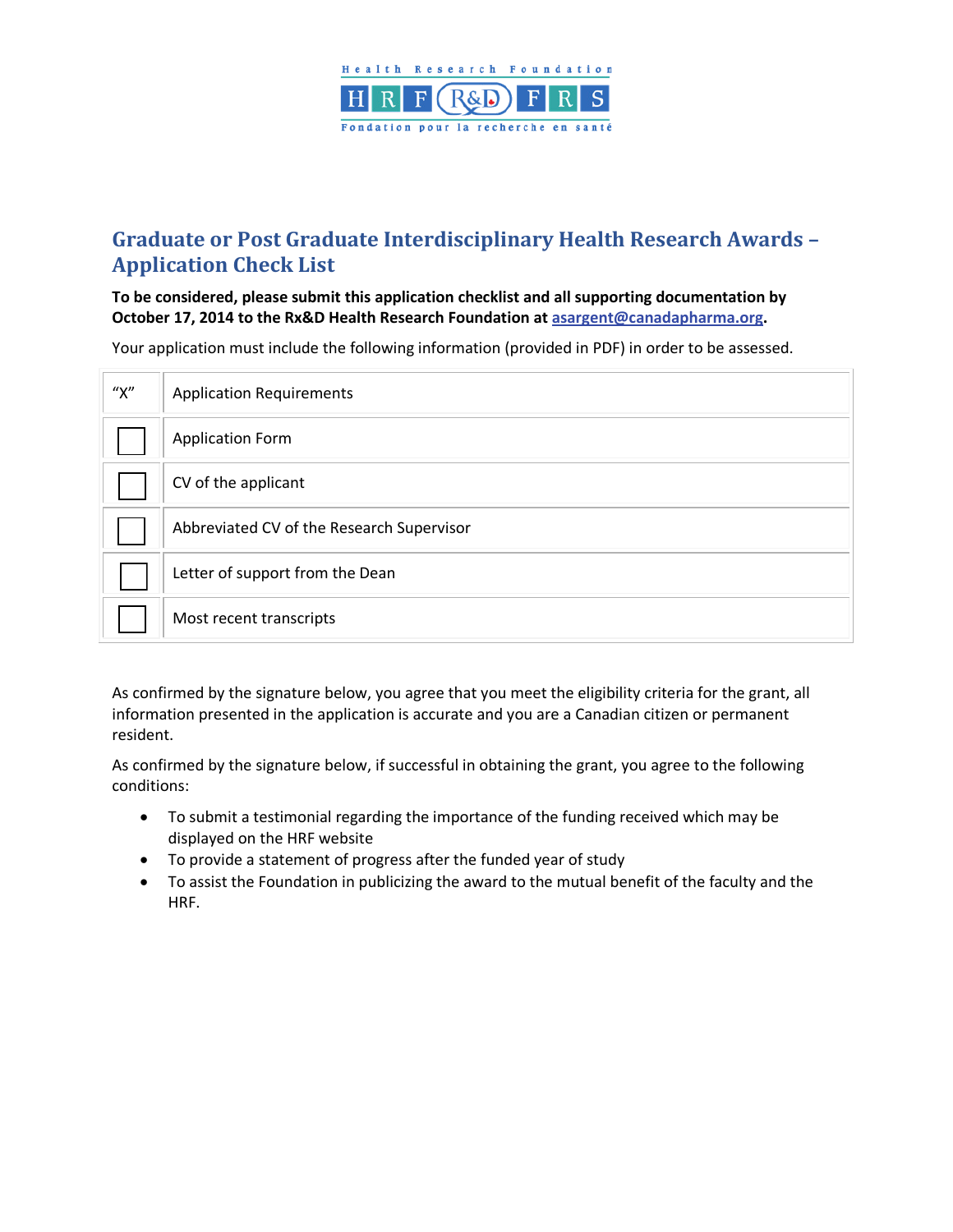

# **Graduate or Post Graduate Interdisciplinary Health Research Awards – Application Check List**

#### **To be considered, please submit this application checklist and all supporting documentation by October 17, 2014 to the Rx&D Health Research Foundation a[t asargent@canadapharma.org.](mailto:asargent@canadapharma.org)**

Your application must include the following information (provided in PDF) in order to be assessed.

| ''X'' | <b>Application Requirements</b>           |
|-------|-------------------------------------------|
|       | <b>Application Form</b>                   |
|       | CV of the applicant                       |
|       | Abbreviated CV of the Research Supervisor |
|       | Letter of support from the Dean           |
|       | Most recent transcripts                   |

As confirmed by the signature below, you agree that you meet the eligibility criteria for the grant, all information presented in the application is accurate and you are a Canadian citizen or permanent resident.

As confirmed by the signature below, if successful in obtaining the grant, you agree to the following conditions:

- To submit a testimonial regarding the importance of the funding received which may be displayed on the HRF website
- To provide a statement of progress after the funded year of study
- To assist the Foundation in publicizing the award to the mutual benefit of the faculty and the HRF.